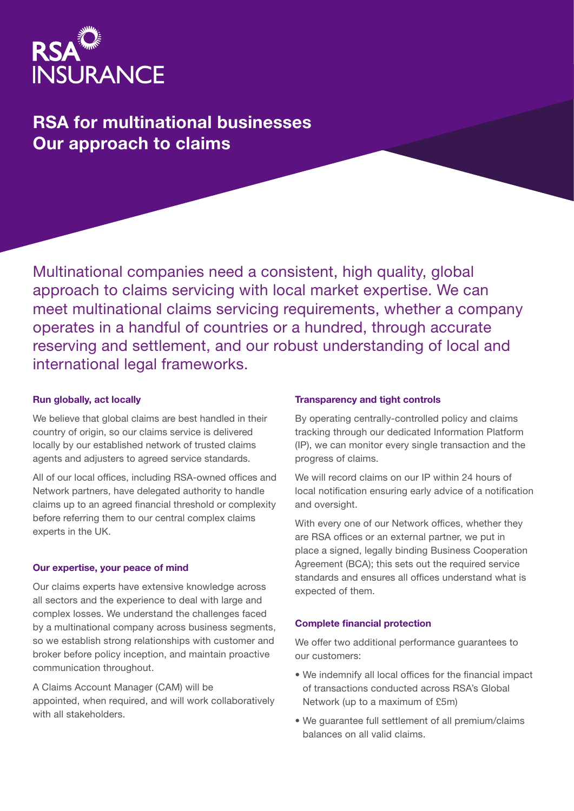

# RSA for multinational businesses Our approach to claims

Multinational companies need a consistent, high quality, global approach to claims servicing with local market expertise. We can meet multinational claims servicing requirements, whether a company operates in a handful of countries or a hundred, through accurate reserving and settlement, and our robust understanding of local and international legal frameworks.

#### Run globally, act locally

We believe that global claims are best handled in their country of origin, so our claims service is delivered locally by our established network of trusted claims agents and adjusters to agreed service standards.

All of our local offices, including RSA-owned offices and Network partners, have delegated authority to handle claims up to an agreed financial threshold or complexity before referring them to our central complex claims experts in the UK.

#### Our expertise, your peace of mind

Our claims experts have extensive knowledge across all sectors and the experience to deal with large and complex losses. We understand the challenges faced by a multinational company across business segments, so we establish strong relationships with customer and broker before policy inception, and maintain proactive communication throughout.

A Claims Account Manager (CAM) will be appointed, when required, and will work collaboratively with all stakeholders.

#### Transparency and tight controls

By operating centrally-controlled policy and claims tracking through our dedicated Information Platform (IP), we can monitor every single transaction and the progress of claims.

We will record claims on our IP within 24 hours of local notification ensuring early advice of a notification and oversight.

With every one of our Network offices, whether they are RSA offices or an external partner, we put in place a signed, legally binding Business Cooperation Agreement (BCA); this sets out the required service standards and ensures all offices understand what is expected of them.

#### Complete financial protection

We offer two additional performance guarantees to our customers:

- We indemnify all local offices for the financial impact of transactions conducted across RSA's Global Network (up to a maximum of £5m)
- We guarantee full settlement of all premium/claims balances on all valid claims.